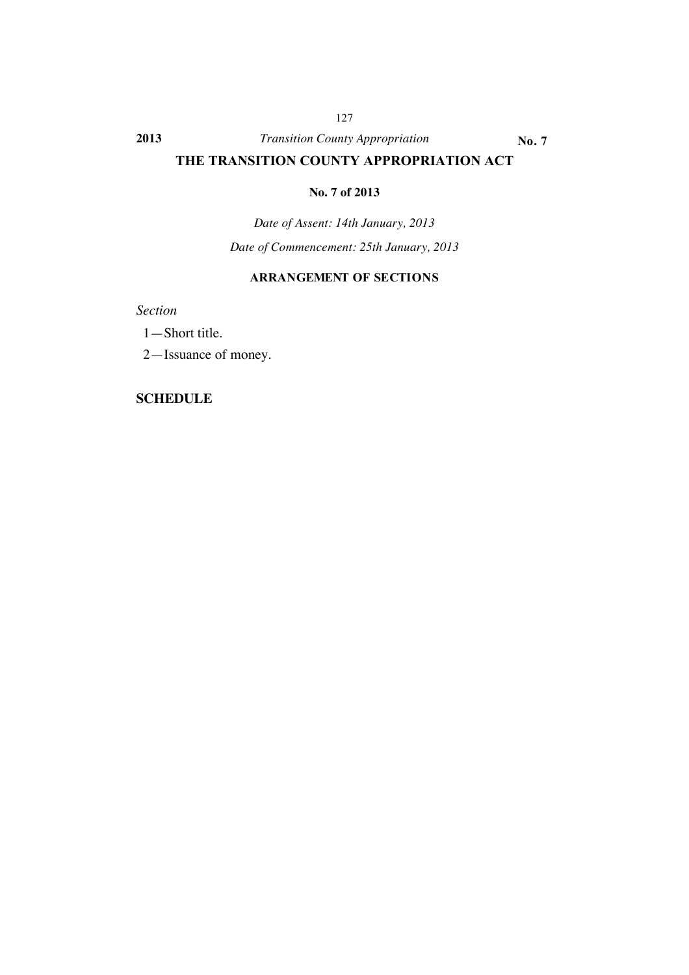#### **2013** *Transition County Appropriation* **No. 7**

127

## **THE TRANSITION COUNTY APPROPRIATION ACT**

#### **No. 7 of 2013**

*Date of Assent: 14th January, 2013 Date of Commencement: 25th January, 2013*

#### **ARRANGEMENT OF SECTIONS**

*Section*

1—Short title.

2—Issuance of money.

#### **SCHEDULE**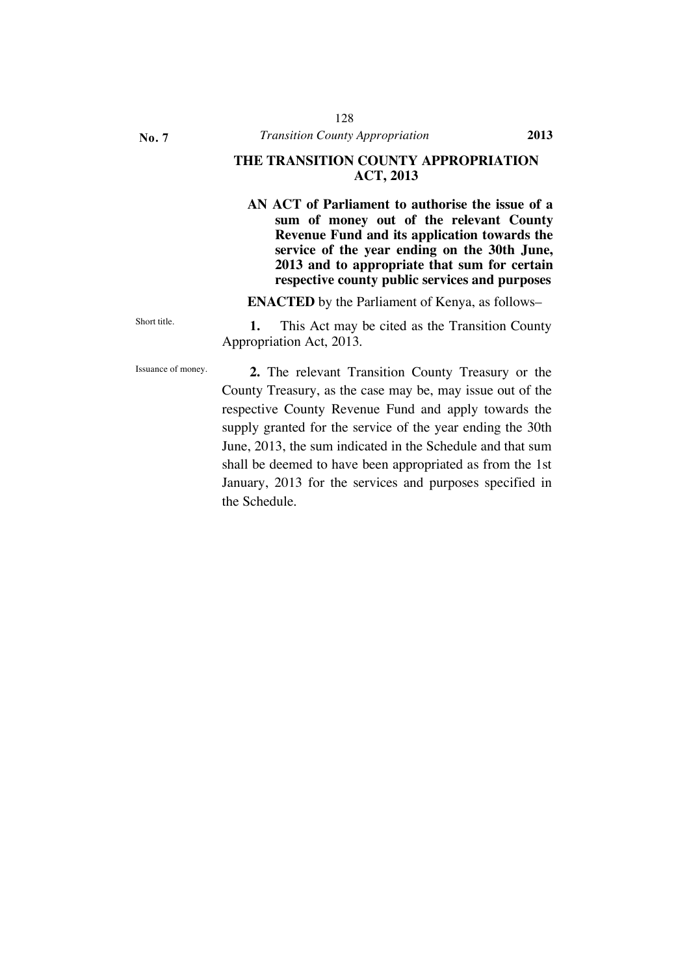**No. 7**

#### **THE TRANSITION COUNTY APPROPRIATION ACT, 2013**

**AN ACT of Parliament to authorise the issue of a sum of money out of the relevant County Revenue Fund and its application towards the service of the year ending on the 30th June, 2013 and to appropriate that sum for certain respective county public services and purposes**

**ENACTED** by the Parliament of Kenya, as follows–

Short title. **1.** This Act may be cited as the Transition County Appropriation Act, 2013.

Issuance of money. **2.** The relevant Transition County Treasury or the County Treasury, as the case may be, may issue out of the respective County Revenue Fund and apply towards the supply granted for the service of the year ending the 30th June, 2013, the sum indicated in the Schedule and that sum shall be deemed to have been appropriated as from the 1st January, 2013 for the services and purposes specified in the Schedule.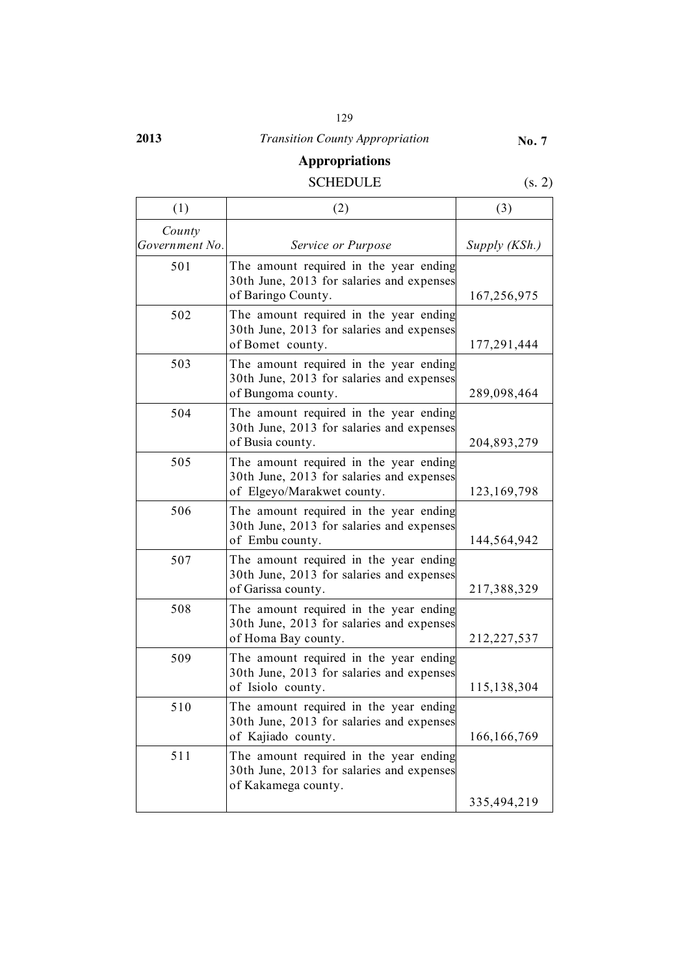#### 129

# **2013** *Transition County Appropriation*

### **No. 7**

# **Appropriations**

## SCHEDULE (s. 2)

| (1)                      | (2)                                                                                                               | (3)           |
|--------------------------|-------------------------------------------------------------------------------------------------------------------|---------------|
| County<br>Government No. | Service or Purpose                                                                                                | Supply (KSh.) |
| 501                      | The amount required in the year ending<br>30th June, 2013 for salaries and expenses<br>of Baringo County.         | 167,256,975   |
| 502                      | The amount required in the year ending<br>30th June, 2013 for salaries and expenses<br>of Bomet county.           | 177,291,444   |
| 503                      | The amount required in the year ending<br>30th June, 2013 for salaries and expenses<br>of Bungoma county.         | 289,098,464   |
| 504                      | The amount required in the year ending<br>30th June, 2013 for salaries and expenses<br>of Busia county.           | 204,893,279   |
| 505                      | The amount required in the year ending<br>30th June, 2013 for salaries and expenses<br>of Elgeyo/Marakwet county. | 123, 169, 798 |
| 506                      | The amount required in the year ending<br>30th June, 2013 for salaries and expenses<br>of Embu county.            | 144,564,942   |
| 507                      | The amount required in the year ending<br>30th June, 2013 for salaries and expenses<br>of Garissa county.         | 217,388,329   |
| 508                      | The amount required in the year ending<br>30th June, 2013 for salaries and expenses<br>of Homa Bay county.        | 212,227,537   |
| 509                      | The amount required in the year ending<br>30th June, 2013 for salaries and expenses<br>of Isiolo county.          | 115,138,304   |
| 510                      | The amount required in the year ending<br>30th June, 2013 for salaries and expenses<br>of Kajiado county.         | 166, 166, 769 |
| 511                      | The amount required in the year ending<br>30th June, 2013 for salaries and expenses<br>of Kakamega county.        |               |
|                          |                                                                                                                   | 335,494,219   |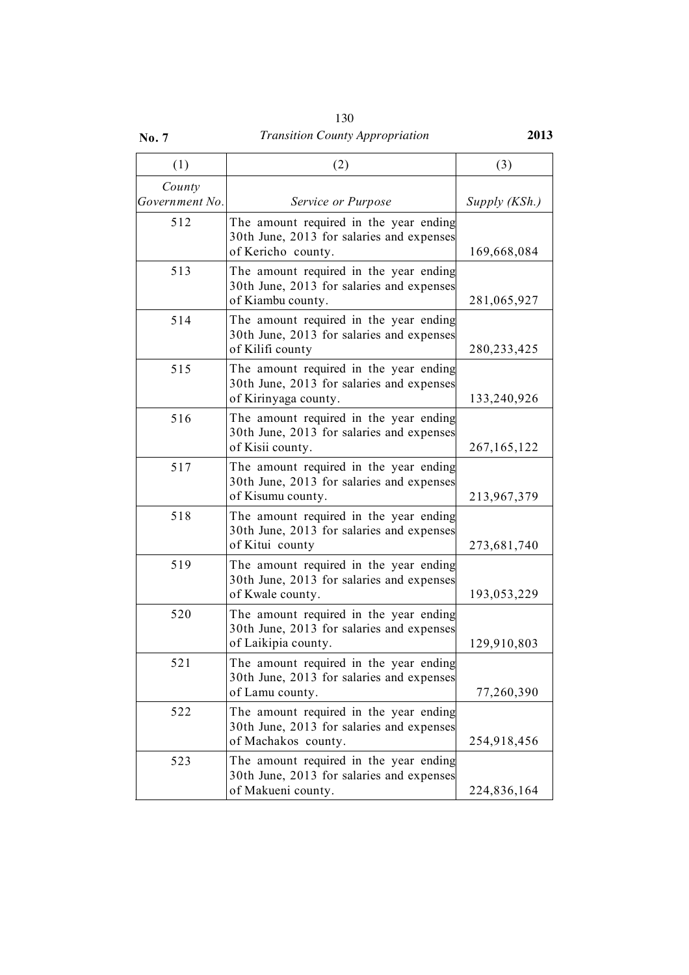|              | 130                                    |      |
|--------------|----------------------------------------|------|
| <b>No. 7</b> | <b>Transition County Appropriation</b> | 2013 |

| (1)                      | (2)                                                                                                         | (3)           |
|--------------------------|-------------------------------------------------------------------------------------------------------------|---------------|
| County<br>Government No. | Service or Purpose                                                                                          | Supply (KSh.) |
| 512                      | The amount required in the year ending<br>30th June, 2013 for salaries and expenses<br>of Kericho county.   | 169,668,084   |
| 513                      | The amount required in the year ending<br>30th June, 2013 for salaries and expenses<br>of Kiambu county.    | 281,065,927   |
| 514                      | The amount required in the year ending<br>30th June, 2013 for salaries and expenses<br>of Kilifi county     | 280, 233, 425 |
| 515                      | The amount required in the year ending<br>30th June, 2013 for salaries and expenses<br>of Kirinyaga county. | 133,240,926   |
| 516                      | The amount required in the year ending<br>30th June, 2013 for salaries and expenses<br>of Kisii county.     | 267, 165, 122 |
| 517                      | The amount required in the year ending<br>30th June, 2013 for salaries and expenses<br>of Kisumu county.    | 213,967,379   |
| 518                      | The amount required in the year ending<br>30th June, 2013 for salaries and expenses<br>of Kitui county      | 273,681,740   |
| 519                      | The amount required in the year ending<br>30th June, 2013 for salaries and expenses<br>of Kwale county.     | 193,053,229   |
| 520                      | The amount required in the year ending<br>30th June, 2013 for salaries and expenses<br>of Laikipia county.  | 129,910,803   |
| 521                      | The amount required in the year ending<br>30th June, 2013 for salaries and expenses<br>of Lamu county.      | 77,260,390    |
| 522                      | The amount required in the year ending<br>30th June, 2013 for salaries and expenses<br>of Machakos county.  | 254,918,456   |
| 523                      | The amount required in the year ending<br>30th June, 2013 for salaries and expenses<br>of Makueni county.   | 224,836,164   |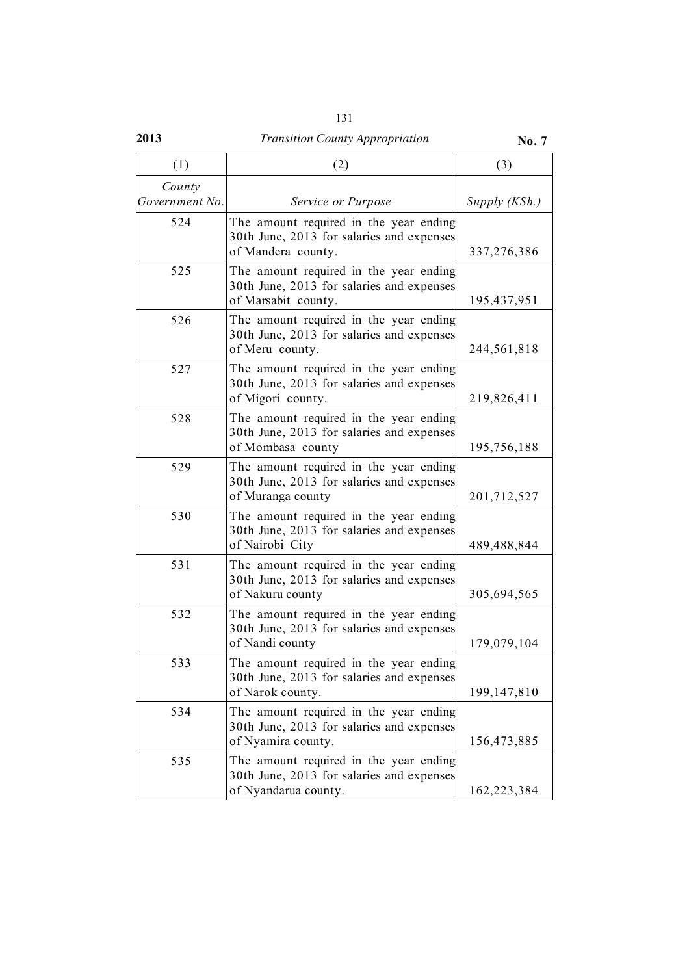| ٧<br>I<br>۰.<br>× |  |
|-------------------|--|
|-------------------|--|

#### **2013** *Transition County Appropriation* **No. 7** (1)  $(2)$   $(3)$ *County Government No. Service or Purpose Supply (KSh.)* 524 The amount required in the year ending 30th June, 2013 for salaries and expenses of Mandera county. 237,276,386 525 The amount required in the year ending 30th June, 2013 for salaries and expenses of Marsabit county. 195,437,951 526 The amount required in the year ending 30th June, 2013 for salaries and expenses of Meru county. 244,561,818 527 The amount required in the year ending 30th June, 2013 for salaries and expenses of Migori county. 219,826,411 528 The amount required in the year ending 30th June, 2013 for salaries and expenses of Mombasa county 195,756,188 529 The amount required in the year ending 30th June, 2013 for salaries and expenses of Muranga county 201,712,527 530 The amount required in the year ending 30th June, 2013 for salaries and expenses of Nairobi City 489,488,844 531 The amount required in the year ending 30th June, 2013 for salaries and expenses of Nakuru county and 305,694,565 532 The amount required in the year ending 30th June, 2013 for salaries and expenses of Nandi county 179,079,104 533 The amount required in the year ending 30th June, 2013 for salaries and expenses of Narok county. 199,147,810 534 The amount required in the year ending 30th June, 2013 for salaries and expenses of Nyamira county. 156,473,885 535 The amount required in the year ending 30th June, 2013 for salaries and expenses of Nyandarua county. 162,223,384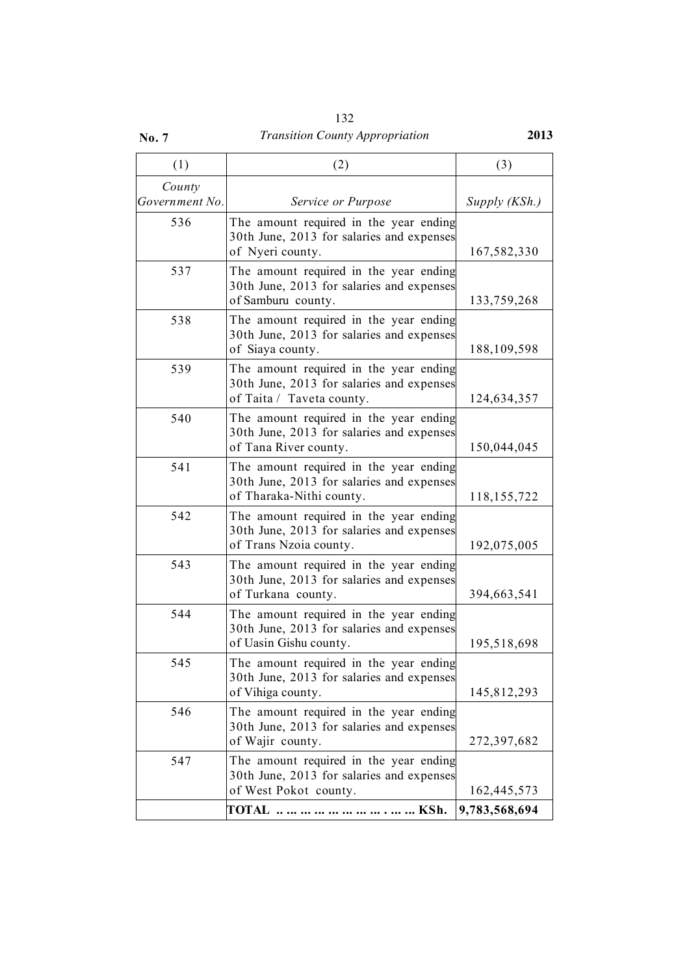| 132                                    |      |
|----------------------------------------|------|
| <b>Transition County Appropriation</b> | 2013 |

### (1)  $(2)$   $(3)$ *County Government No. Service or Purpose Supply (KSh.)* 536 The amount required in the year ending 30th June, 2013 for salaries and expenses of Nyeri county. 167,582,330 537 The amount required in the year ending 30th June, 2013 for salaries and expenses of Samburu county. 133,759,268 538 The amount required in the year ending 30th June, 2013 for salaries and expenses of Siaya county. 188,109,598 539 The amount required in the year ending 30th June, 2013 for salaries and expenses of Taita / Taveta county.  $124,634,357$ 540 The amount required in the year ending 30th June, 2013 for salaries and expenses of Tana River county. 150,044,045 541 The amount required in the year ending 30th June, 2013 for salaries and expenses of Tharaka-Nithi county. 118,155,722 542 The amount required in the year ending 30th June, 2013 for salaries and expenses of Trans Nzoia county. 192,075,005 543 The amount required in the year ending 30th June, 2013 for salaries and expenses of Turkana county. 394,663,541 544 The amount required in the year ending 30th June, 2013 for salaries and expenses of Uasin Gishu county. 195,518,698 545 The amount required in the year ending 30th June, 2013 for salaries and expenses of Vihiga county. 145,812,293 546 The amount required in the year ending 30th June, 2013 for salaries and expenses of Wajir county. 272,397,682 547 The amount required in the year ending 30th June, 2013 for salaries and expenses of West Pokot county. 162,445,573

**TOTAL .. ... ... ... ... ... ... ... . ... ... KSh. 9,783,568,694**